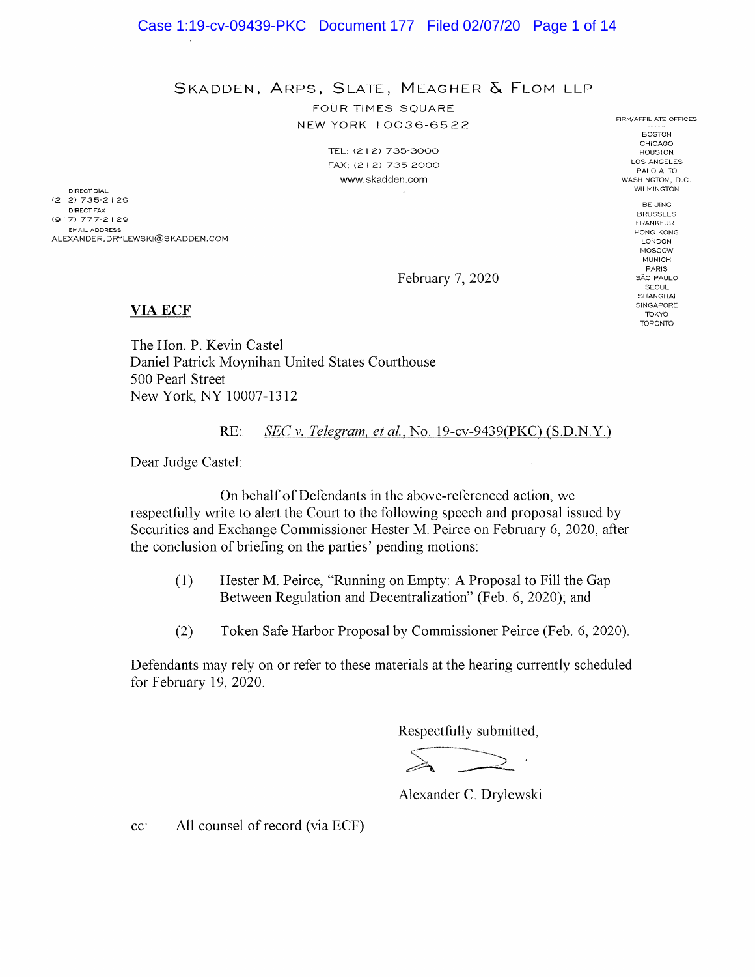SKADDEN, ARPS, SLATE, MEAGHER & FLOM LLP

FOUR TIMES SOUARE NEW YORK 10036-6522

> TEL: (2 I 2) 735-3000 FAX: (2 I 2) 735-2000 www.skadden.com

DIRECT DIAL (2 1 2) 73 5-2 129 DIRECT FAX (9 17) 777-2 I 29 EMAIL ADDRESS ALEXANDER. DRYLEWSKI@SKADDEN.COM

BOSTON CHICAGO HOUSTON LOS ANGELES PALO ALTO WASHINGTON, D.C. **WILMINGTON BEIJING** BRUSSELS FRANKFURT HONG KONG LONDON MOSCOW MUNICH PARIS SÃO PAULO **SEOUL** SHANGHAI **SINGAPORE** TOKYO TORONTO

FIRM/AFFILIATE OFFICES

February 7, 2020

#### VIA ECF

The Hon. P. Kevin Castel Daniel Patrick Moynihan United States Courthouse 500 Pearl Street New York, NY 10007-1312

RE: SEC v. Telegram, et al., No. 19-cv-9439(PKC) (S.D.N.Y.)

Dear Judge Castel:

On behalf of Defendants in the above-referenced action, we respectfully write to alert the Court to the following speech and proposal issued by Securities and Exchange Commissioner Hester M. Peirce on February 6, 2020, after the conclusion of briefing on the parties' pending motions:

- (1) Hester M. Peirce, "Running on Empty: A Proposal to Fill the Gap Between Regulation and Decentralization" (Feb. 6, 2020); and
- (2) Token Safe Harbor Proposal by Commissioner Peirce (Feb 6, 2020).

Defendants may rely on or refer to these materials at the hearing currently scheduled for February 19, 2020.

Respectfully submitted,

Alexander C. Drylewski

cc: All counsel of record (via ECF)

Case 1:19-cv-09439-PKC Document 177 Filed 02/07/20 Page 1 of 14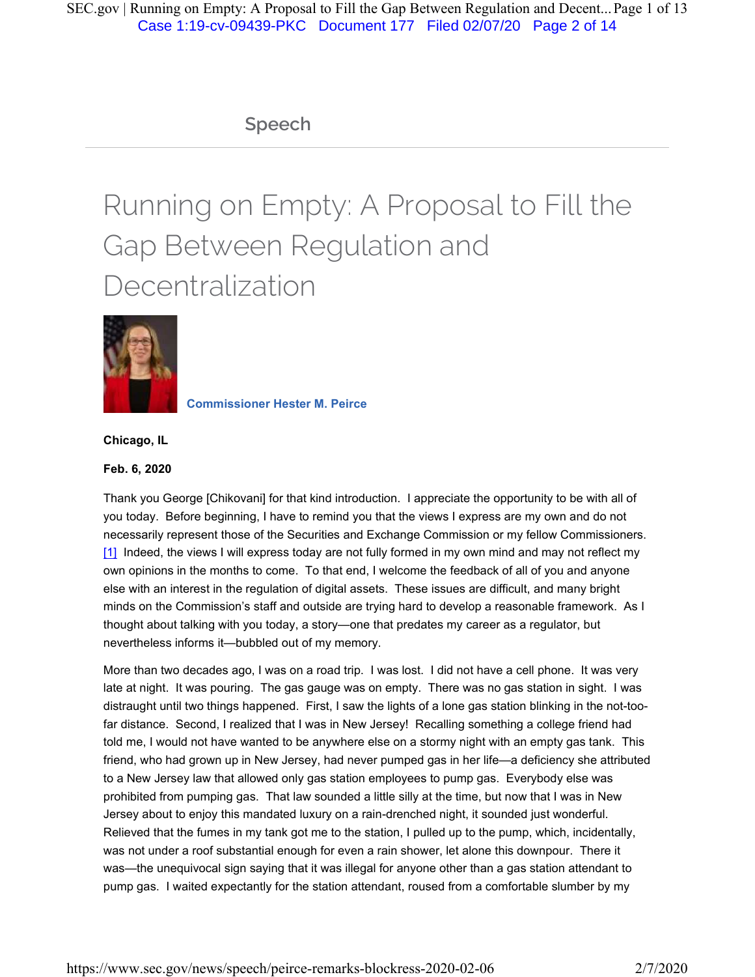# **Speech**

# Running on Empty: A Proposal to Fill the Gap Between Regulation and Decentralization



**Commissioner Hester M. Peirce** 

**Chicago, IL**

#### **Feb. 6, 2020**

Thank you George [Chikovani] for that kind introduction. I appreciate the opportunity to be with all of you today. Before beginning, I have to remind you that the views I express are my own and do not necessarily represent those of the Securities and Exchange Commission or my fellow Commissioners. [1] Indeed, the views I will express today are not fully formed in my own mind and may not reflect my own opinions in the months to come. To that end, I welcome the feedback of all of you and anyone else with an interest in the regulation of digital assets. These issues are difficult, and many bright minds on the Commission's staff and outside are trying hard to develop a reasonable framework. As I thought about talking with you today, a story—one that predates my career as a regulator, but nevertheless informs it—bubbled out of my memory.

More than two decades ago, I was on a road trip. I was lost. I did not have a cell phone. It was very late at night. It was pouring. The gas gauge was on empty. There was no gas station in sight. I was distraught until two things happened. First, I saw the lights of a lone gas station blinking in the not-toofar distance. Second, I realized that I was in New Jersey! Recalling something a college friend had told me, I would not have wanted to be anywhere else on a stormy night with an empty gas tank. This friend, who had grown up in New Jersey, had never pumped gas in her life—a deficiency she attributed to a New Jersey law that allowed only gas station employees to pump gas. Everybody else was prohibited from pumping gas. That law sounded a little silly at the time, but now that I was in New Jersey about to enjoy this mandated luxury on a rain-drenched night, it sounded just wonderful. Relieved that the fumes in my tank got me to the station, I pulled up to the pump, which, incidentally, was not under a roof substantial enough for even a rain shower, let alone this downpour. There it was—the unequivocal sign saying that it was illegal for anyone other than a gas station attendant to pump gas. I waited expectantly for the station attendant, roused from a comfortable slumber by my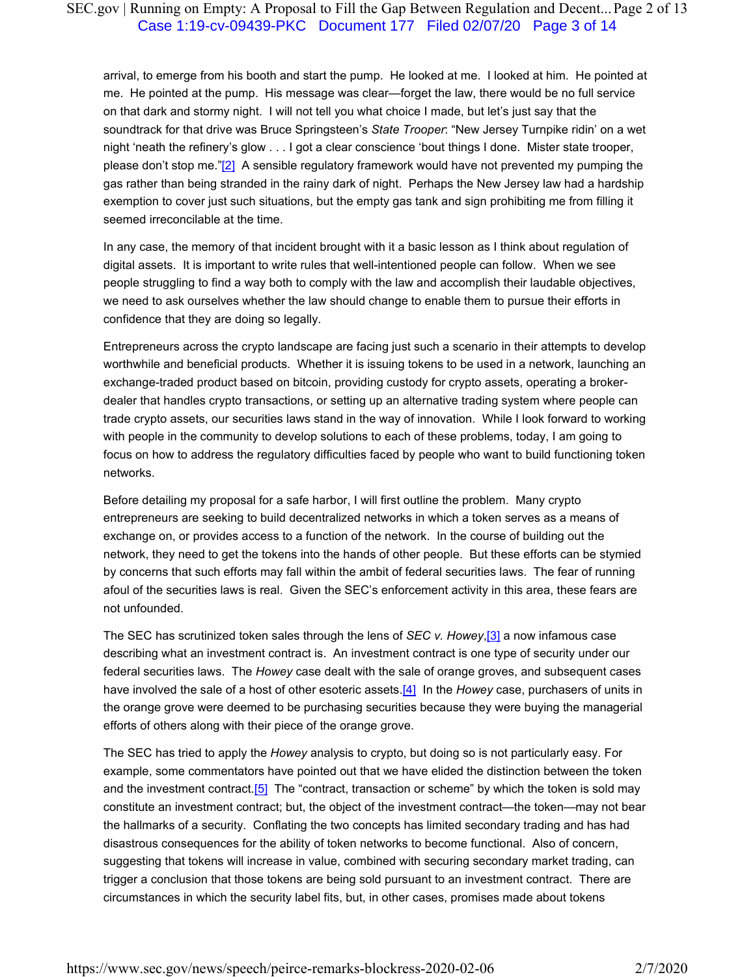# SEC.gov | Running on Empty: A Proposal to Fill the Gap Between Regulation and Decent... Page 2 of 13 Case 1:19-cv-09439-PKC Document 177 Filed 02/07/20 Page 3 of 14

arrival, to emerge from his booth and start the pump. He looked at me. I looked at him. He pointed at me. He pointed at the pump. His message was clear—forget the law, there would be no full service on that dark and stormy night. I will not tell you what choice I made, but let's just say that the soundtrack for that drive was Bruce Springsteen's *State Trooper*: "New Jersey Turnpike ridin' on a wet night 'neath the refinery's glow . . . I got a clear conscience 'bout things I done. Mister state trooper, please don't stop me."[2] A sensible regulatory framework would have not prevented my pumping the gas rather than being stranded in the rainy dark of night. Perhaps the New Jersey law had a hardship exemption to cover just such situations, but the empty gas tank and sign prohibiting me from filling it seemed irreconcilable at the time.

In any case, the memory of that incident brought with it a basic lesson as I think about regulation of digital assets. It is important to write rules that well-intentioned people can follow. When we see people struggling to find a way both to comply with the law and accomplish their laudable objectives, we need to ask ourselves whether the law should change to enable them to pursue their efforts in confidence that they are doing so legally.

Entrepreneurs across the crypto landscape are facing just such a scenario in their attempts to develop worthwhile and beneficial products. Whether it is issuing tokens to be used in a network, launching an exchange-traded product based on bitcoin, providing custody for crypto assets, operating a brokerdealer that handles crypto transactions, or setting up an alternative trading system where people can trade crypto assets, our securities laws stand in the way of innovation. While I look forward to working with people in the community to develop solutions to each of these problems, today, I am going to focus on how to address the regulatory difficulties faced by people who want to build functioning token networks.

Before detailing my proposal for a safe harbor, I will first outline the problem. Many crypto entrepreneurs are seeking to build decentralized networks in which a token serves as a means of exchange on, or provides access to a function of the network. In the course of building out the network, they need to get the tokens into the hands of other people. But these efforts can be stymied by concerns that such efforts may fall within the ambit of federal securities laws. The fear of running afoul of the securities laws is real. Given the SEC's enforcement activity in this area, these fears are not unfounded.

The SEC has scrutinized token sales through the lens of *SEC v. Howey*,[3] a now infamous case describing what an investment contract is. An investment contract is one type of security under our federal securities laws. The *Howey* case dealt with the sale of orange groves, and subsequent cases have involved the sale of a host of other esoteric assets.[4] In the *Howey* case, purchasers of units in the orange grove were deemed to be purchasing securities because they were buying the managerial efforts of others along with their piece of the orange grove.

The SEC has tried to apply the *Howey* analysis to crypto, but doing so is not particularly easy. For example, some commentators have pointed out that we have elided the distinction between the token and the investment contract.<sup>[5]</sup> The "contract, transaction or scheme" by which the token is sold may constitute an investment contract; but, the object of the investment contract—the token—may not bear the hallmarks of a security. Conflating the two concepts has limited secondary trading and has had disastrous consequences for the ability of token networks to become functional. Also of concern, suggesting that tokens will increase in value, combined with securing secondary market trading, can trigger a conclusion that those tokens are being sold pursuant to an investment contract. There are circumstances in which the security label fits, but, in other cases, promises made about tokens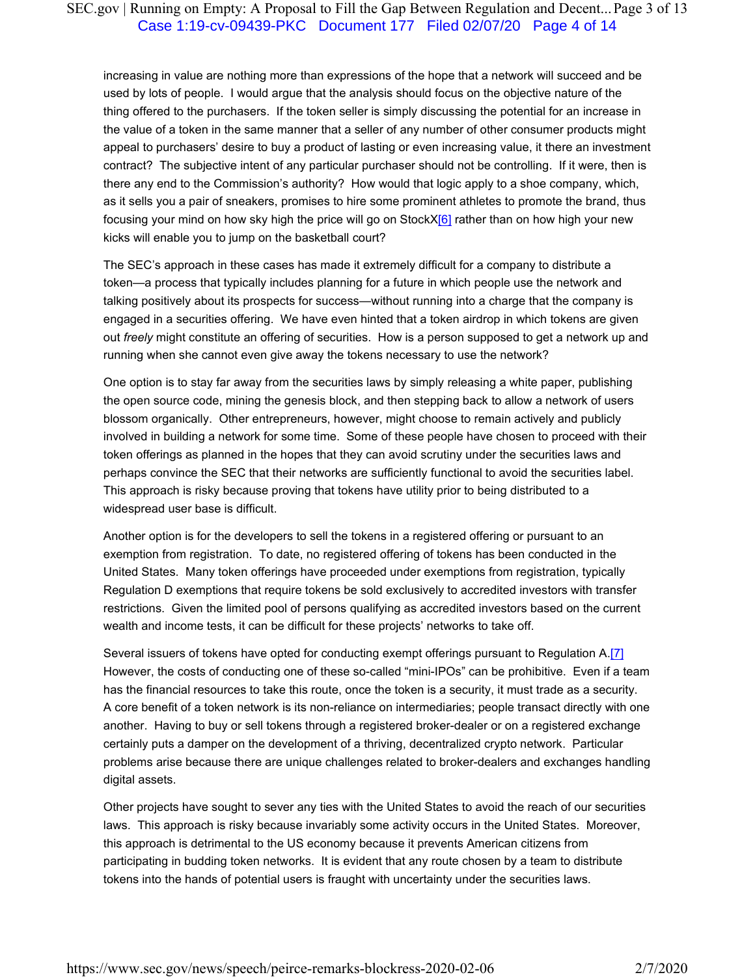# SEC.gov | Running on Empty: A Proposal to Fill the Gap Between Regulation and Decent... Page 3 of 13 Case 1:19-cv-09439-PKC Document 177 Filed 02/07/20 Page 4 of 14

increasing in value are nothing more than expressions of the hope that a network will succeed and be used by lots of people. I would argue that the analysis should focus on the objective nature of the thing offered to the purchasers. If the token seller is simply discussing the potential for an increase in the value of a token in the same manner that a seller of any number of other consumer products might appeal to purchasers' desire to buy a product of lasting or even increasing value, it there an investment contract? The subjective intent of any particular purchaser should not be controlling. If it were, then is there any end to the Commission's authority? How would that logic apply to a shoe company, which, as it sells you a pair of sneakers, promises to hire some prominent athletes to promote the brand, thus focusing your mind on how sky high the price will go on Stock $X[6]$  rather than on how high your new kicks will enable you to jump on the basketball court?

The SEC's approach in these cases has made it extremely difficult for a company to distribute a token—a process that typically includes planning for a future in which people use the network and talking positively about its prospects for success—without running into a charge that the company is engaged in a securities offering. We have even hinted that a token airdrop in which tokens are given out *freely* might constitute an offering of securities. How is a person supposed to get a network up and running when she cannot even give away the tokens necessary to use the network?

One option is to stay far away from the securities laws by simply releasing a white paper, publishing the open source code, mining the genesis block, and then stepping back to allow a network of users blossom organically. Other entrepreneurs, however, might choose to remain actively and publicly involved in building a network for some time. Some of these people have chosen to proceed with their token offerings as planned in the hopes that they can avoid scrutiny under the securities laws and perhaps convince the SEC that their networks are sufficiently functional to avoid the securities label. This approach is risky because proving that tokens have utility prior to being distributed to a widespread user base is difficult.

Another option is for the developers to sell the tokens in a registered offering or pursuant to an exemption from registration. To date, no registered offering of tokens has been conducted in the United States. Many token offerings have proceeded under exemptions from registration, typically Regulation D exemptions that require tokens be sold exclusively to accredited investors with transfer restrictions. Given the limited pool of persons qualifying as accredited investors based on the current wealth and income tests, it can be difficult for these projects' networks to take off.

Several issuers of tokens have opted for conducting exempt offerings pursuant to Regulation A.[7] However, the costs of conducting one of these so-called "mini-IPOs" can be prohibitive. Even if a team has the financial resources to take this route, once the token is a security, it must trade as a security. A core benefit of a token network is its non-reliance on intermediaries; people transact directly with one another. Having to buy or sell tokens through a registered broker-dealer or on a registered exchange certainly puts a damper on the development of a thriving, decentralized crypto network. Particular problems arise because there are unique challenges related to broker-dealers and exchanges handling digital assets.

Other projects have sought to sever any ties with the United States to avoid the reach of our securities laws. This approach is risky because invariably some activity occurs in the United States. Moreover, this approach is detrimental to the US economy because it prevents American citizens from participating in budding token networks. It is evident that any route chosen by a team to distribute tokens into the hands of potential users is fraught with uncertainty under the securities laws.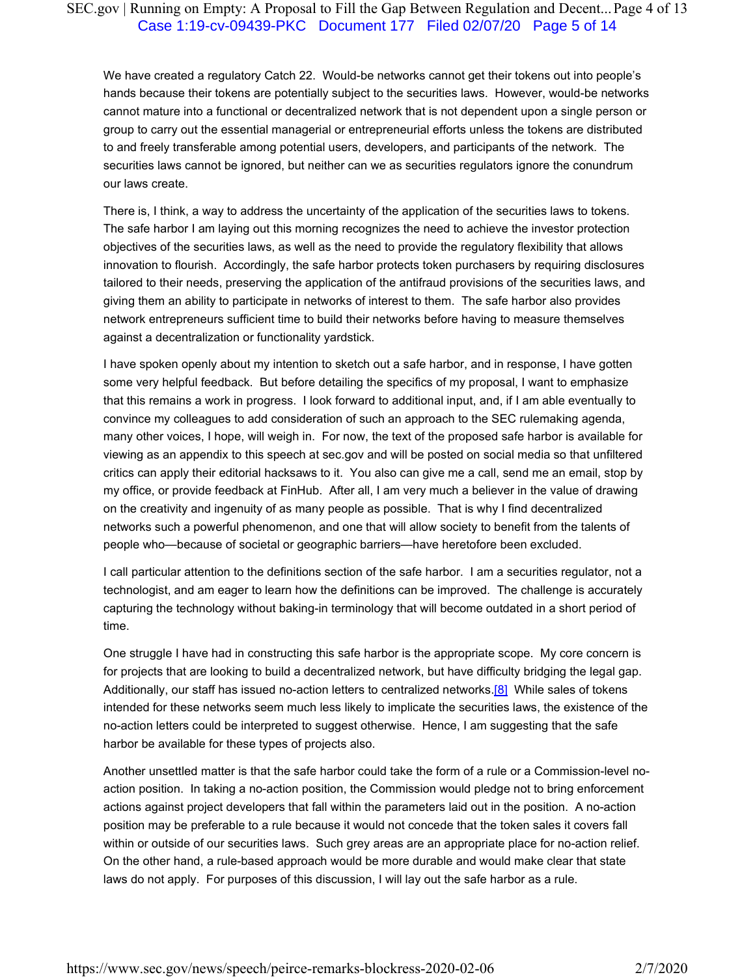# SEC.gov | Running on Empty: A Proposal to Fill the Gap Between Regulation and Decent... Page 4 of 13 Case 1:19-cv-09439-PKC Document 177 Filed 02/07/20 Page 5 of 14

We have created a regulatory Catch 22. Would-be networks cannot get their tokens out into people's hands because their tokens are potentially subject to the securities laws. However, would-be networks cannot mature into a functional or decentralized network that is not dependent upon a single person or group to carry out the essential managerial or entrepreneurial efforts unless the tokens are distributed to and freely transferable among potential users, developers, and participants of the network. The securities laws cannot be ignored, but neither can we as securities regulators ignore the conundrum our laws create.

There is, I think, a way to address the uncertainty of the application of the securities laws to tokens. The safe harbor I am laying out this morning recognizes the need to achieve the investor protection objectives of the securities laws, as well as the need to provide the regulatory flexibility that allows innovation to flourish. Accordingly, the safe harbor protects token purchasers by requiring disclosures tailored to their needs, preserving the application of the antifraud provisions of the securities laws, and giving them an ability to participate in networks of interest to them. The safe harbor also provides network entrepreneurs sufficient time to build their networks before having to measure themselves against a decentralization or functionality yardstick.

I have spoken openly about my intention to sketch out a safe harbor, and in response, I have gotten some very helpful feedback. But before detailing the specifics of my proposal, I want to emphasize that this remains a work in progress. I look forward to additional input, and, if I am able eventually to convince my colleagues to add consideration of such an approach to the SEC rulemaking agenda, many other voices, I hope, will weigh in. For now, the text of the proposed safe harbor is available for viewing as an appendix to this speech at sec.gov and will be posted on social media so that unfiltered critics can apply their editorial hacksaws to it. You also can give me a call, send me an email, stop by my office, or provide feedback at FinHub. After all, I am very much a believer in the value of drawing on the creativity and ingenuity of as many people as possible. That is why I find decentralized networks such a powerful phenomenon, and one that will allow society to benefit from the talents of people who—because of societal or geographic barriers—have heretofore been excluded.

I call particular attention to the definitions section of the safe harbor. I am a securities regulator, not a technologist, and am eager to learn how the definitions can be improved. The challenge is accurately capturing the technology without baking-in terminology that will become outdated in a short period of time.

One struggle I have had in constructing this safe harbor is the appropriate scope. My core concern is for projects that are looking to build a decentralized network, but have difficulty bridging the legal gap. Additionally, our staff has issued no-action letters to centralized networks.<sup>[8]</sup> While sales of tokens intended for these networks seem much less likely to implicate the securities laws, the existence of the no-action letters could be interpreted to suggest otherwise. Hence, I am suggesting that the safe harbor be available for these types of projects also.

Another unsettled matter is that the safe harbor could take the form of a rule or a Commission-level noaction position. In taking a no-action position, the Commission would pledge not to bring enforcement actions against project developers that fall within the parameters laid out in the position. A no-action position may be preferable to a rule because it would not concede that the token sales it covers fall within or outside of our securities laws. Such grey areas are an appropriate place for no-action relief. On the other hand, a rule-based approach would be more durable and would make clear that state laws do not apply. For purposes of this discussion, I will lay out the safe harbor as a rule.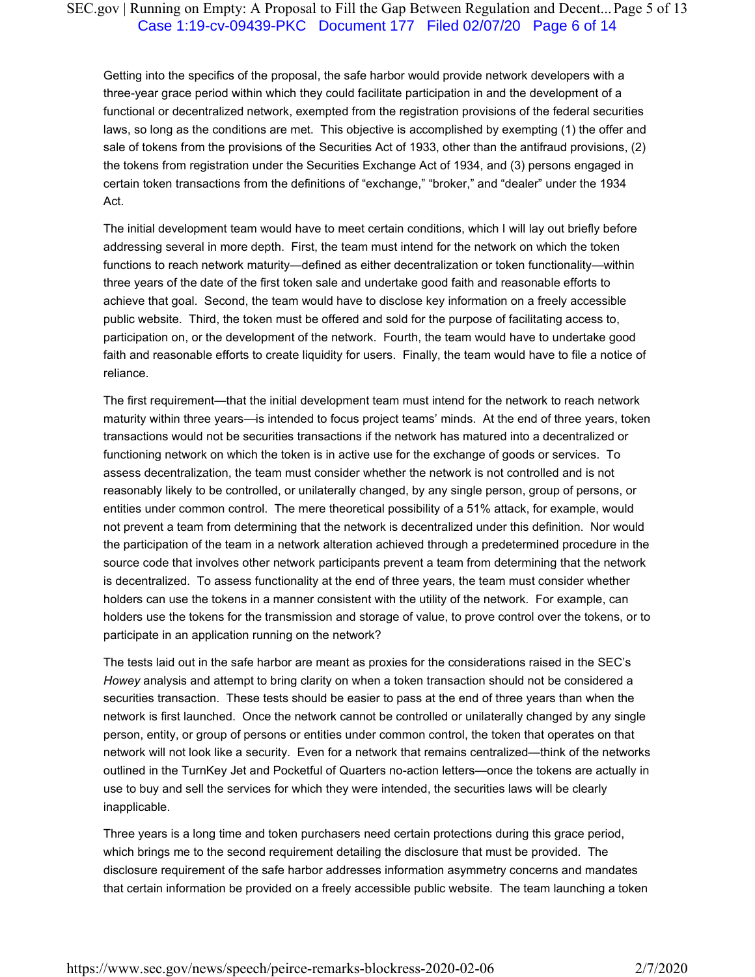# SEC.gov | Running on Empty: A Proposal to Fill the Gap Between Regulation and Decent... Page 5 of 13 Case 1:19-cv-09439-PKC Document 177 Filed 02/07/20 Page 6 of 14

Getting into the specifics of the proposal, the safe harbor would provide network developers with a three-year grace period within which they could facilitate participation in and the development of a functional or decentralized network, exempted from the registration provisions of the federal securities laws, so long as the conditions are met. This objective is accomplished by exempting (1) the offer and sale of tokens from the provisions of the Securities Act of 1933, other than the antifraud provisions, (2) the tokens from registration under the Securities Exchange Act of 1934, and (3) persons engaged in certain token transactions from the definitions of "exchange," "broker," and "dealer" under the 1934 Act.

The initial development team would have to meet certain conditions, which I will lay out briefly before addressing several in more depth. First, the team must intend for the network on which the token functions to reach network maturity—defined as either decentralization or token functionality—within three years of the date of the first token sale and undertake good faith and reasonable efforts to achieve that goal. Second, the team would have to disclose key information on a freely accessible public website. Third, the token must be offered and sold for the purpose of facilitating access to, participation on, or the development of the network. Fourth, the team would have to undertake good faith and reasonable efforts to create liquidity for users. Finally, the team would have to file a notice of reliance.

The first requirement—that the initial development team must intend for the network to reach network maturity within three years—is intended to focus project teams' minds. At the end of three years, token transactions would not be securities transactions if the network has matured into a decentralized or functioning network on which the token is in active use for the exchange of goods or services. To assess decentralization, the team must consider whether the network is not controlled and is not reasonably likely to be controlled, or unilaterally changed, by any single person, group of persons, or entities under common control. The mere theoretical possibility of a 51% attack, for example, would not prevent a team from determining that the network is decentralized under this definition. Nor would the participation of the team in a network alteration achieved through a predetermined procedure in the source code that involves other network participants prevent a team from determining that the network is decentralized. To assess functionality at the end of three years, the team must consider whether holders can use the tokens in a manner consistent with the utility of the network. For example, can holders use the tokens for the transmission and storage of value, to prove control over the tokens, or to participate in an application running on the network?

The tests laid out in the safe harbor are meant as proxies for the considerations raised in the SEC's *Howey* analysis and attempt to bring clarity on when a token transaction should not be considered a securities transaction. These tests should be easier to pass at the end of three years than when the network is first launched. Once the network cannot be controlled or unilaterally changed by any single person, entity, or group of persons or entities under common control, the token that operates on that network will not look like a security. Even for a network that remains centralized—think of the networks outlined in the TurnKey Jet and Pocketful of Quarters no-action letters—once the tokens are actually in use to buy and sell the services for which they were intended, the securities laws will be clearly inapplicable.

Three years is a long time and token purchasers need certain protections during this grace period, which brings me to the second requirement detailing the disclosure that must be provided. The disclosure requirement of the safe harbor addresses information asymmetry concerns and mandates that certain information be provided on a freely accessible public website. The team launching a token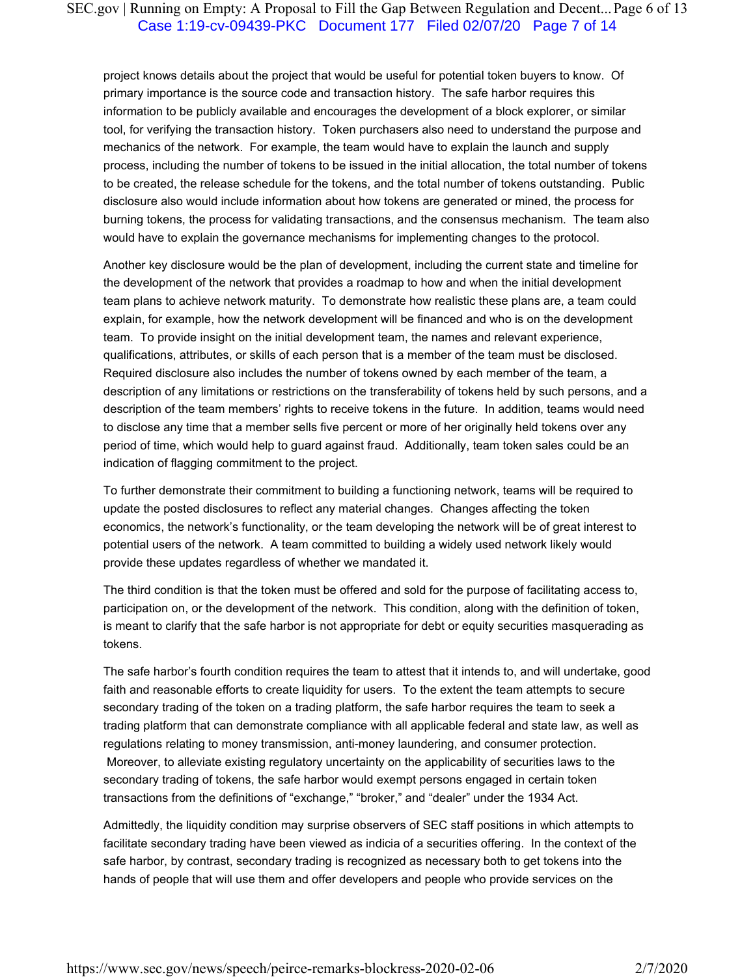# SEC.gov | Running on Empty: A Proposal to Fill the Gap Between Regulation and Decent... Page 6 of 13 Case 1:19-cv-09439-PKC Document 177 Filed 02/07/20 Page 7 of 14

project knows details about the project that would be useful for potential token buyers to know. Of primary importance is the source code and transaction history. The safe harbor requires this information to be publicly available and encourages the development of a block explorer, or similar tool, for verifying the transaction history. Token purchasers also need to understand the purpose and mechanics of the network. For example, the team would have to explain the launch and supply process, including the number of tokens to be issued in the initial allocation, the total number of tokens to be created, the release schedule for the tokens, and the total number of tokens outstanding. Public disclosure also would include information about how tokens are generated or mined, the process for burning tokens, the process for validating transactions, and the consensus mechanism. The team also would have to explain the governance mechanisms for implementing changes to the protocol.

Another key disclosure would be the plan of development, including the current state and timeline for the development of the network that provides a roadmap to how and when the initial development team plans to achieve network maturity. To demonstrate how realistic these plans are, a team could explain, for example, how the network development will be financed and who is on the development team. To provide insight on the initial development team, the names and relevant experience, qualifications, attributes, or skills of each person that is a member of the team must be disclosed. Required disclosure also includes the number of tokens owned by each member of the team, a description of any limitations or restrictions on the transferability of tokens held by such persons, and a description of the team members' rights to receive tokens in the future. In addition, teams would need to disclose any time that a member sells five percent or more of her originally held tokens over any period of time, which would help to guard against fraud. Additionally, team token sales could be an indication of flagging commitment to the project.

To further demonstrate their commitment to building a functioning network, teams will be required to update the posted disclosures to reflect any material changes. Changes affecting the token economics, the network's functionality, or the team developing the network will be of great interest to potential users of the network. A team committed to building a widely used network likely would provide these updates regardless of whether we mandated it.

The third condition is that the token must be offered and sold for the purpose of facilitating access to, participation on, or the development of the network. This condition, along with the definition of token, is meant to clarify that the safe harbor is not appropriate for debt or equity securities masquerading as tokens.

The safe harbor's fourth condition requires the team to attest that it intends to, and will undertake, good faith and reasonable efforts to create liquidity for users. To the extent the team attempts to secure secondary trading of the token on a trading platform, the safe harbor requires the team to seek a trading platform that can demonstrate compliance with all applicable federal and state law, as well as regulations relating to money transmission, anti-money laundering, and consumer protection. Moreover, to alleviate existing regulatory uncertainty on the applicability of securities laws to the secondary trading of tokens, the safe harbor would exempt persons engaged in certain token transactions from the definitions of "exchange," "broker," and "dealer" under the 1934 Act.

Admittedly, the liquidity condition may surprise observers of SEC staff positions in which attempts to facilitate secondary trading have been viewed as indicia of a securities offering. In the context of the safe harbor, by contrast, secondary trading is recognized as necessary both to get tokens into the hands of people that will use them and offer developers and people who provide services on the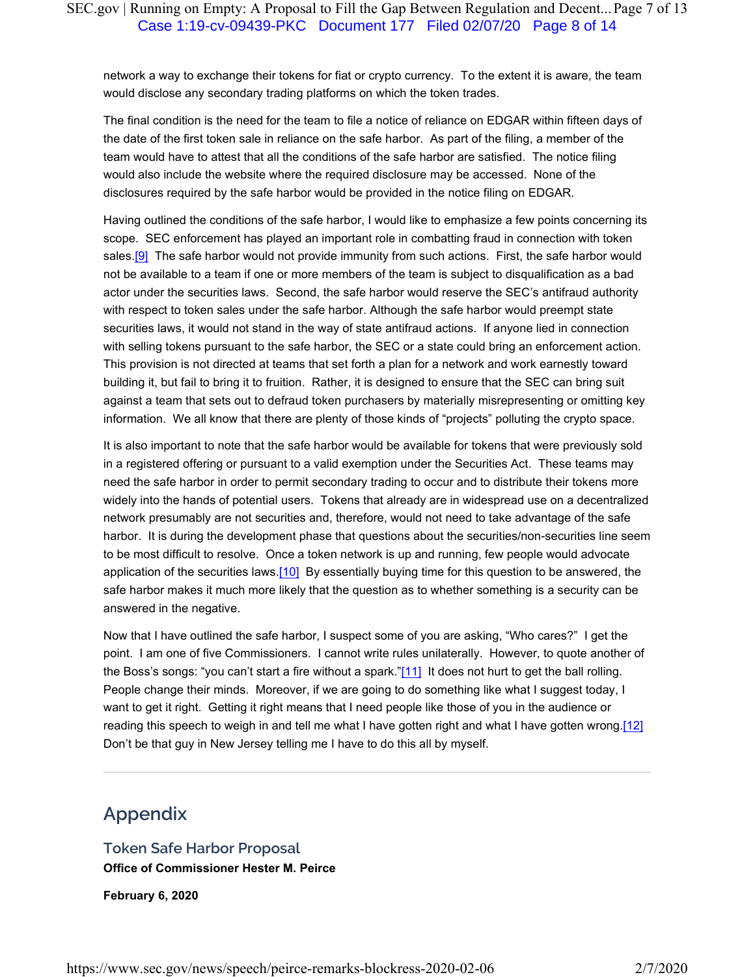network a way to exchange their tokens for fiat or crypto currency. To the extent it is aware, the team would disclose any secondary trading platforms on which the token trades.

The final condition is the need for the team to file a notice of reliance on EDGAR within fifteen days of the date of the first token sale in reliance on the safe harbor. As part of the filing, a member of the team would have to attest that all the conditions of the safe harbor are satisfied. The notice filing would also include the website where the required disclosure may be accessed. None of the disclosures required by the safe harbor would be provided in the notice filing on EDGAR.

Having outlined the conditions of the safe harbor, I would like to emphasize a few points concerning its scope. SEC enforcement has played an important role in combatting fraud in connection with token sales.<sup>[9]</sup> The safe harbor would not provide immunity from such actions. First, the safe harbor would not be available to a team if one or more members of the team is subject to disqualification as a bad actor under the securities laws. Second, the safe harbor would reserve the SEC's antifraud authority with respect to token sales under the safe harbor. Although the safe harbor would preempt state securities laws, it would not stand in the way of state antifraud actions. If anyone lied in connection with selling tokens pursuant to the safe harbor, the SEC or a state could bring an enforcement action. This provision is not directed at teams that set forth a plan for a network and work earnestly toward building it, but fail to bring it to fruition. Rather, it is designed to ensure that the SEC can bring suit against a team that sets out to defraud token purchasers by materially misrepresenting or omitting key information. We all know that there are plenty of those kinds of "projects" polluting the crypto space.

It is also important to note that the safe harbor would be available for tokens that were previously sold in a registered offering or pursuant to a valid exemption under the Securities Act. These teams may need the safe harbor in order to permit secondary trading to occur and to distribute their tokens more widely into the hands of potential users. Tokens that already are in widespread use on a decentralized network presumably are not securities and, therefore, would not need to take advantage of the safe harbor. It is during the development phase that questions about the securities/non-securities line seem to be most difficult to resolve. Once a token network is up and running, few people would advocate application of the securities laws.[10] By essentially buying time for this question to be answered, the safe harbor makes it much more likely that the question as to whether something is a security can be answered in the negative.

Now that I have outlined the safe harbor, I suspect some of you are asking, "Who cares?" I get the point. I am one of five Commissioners. I cannot write rules unilaterally. However, to quote another of the Boss's songs: "you can't start a fire without a spark."[11] It does not hurt to get the ball rolling. People change their minds. Moreover, if we are going to do something like what I suggest today, I want to get it right. Getting it right means that I need people like those of you in the audience or reading this speech to weigh in and tell me what I have gotten right and what I have gotten wrong.[12] Don't be that guy in New Jersey telling me I have to do this all by myself.

# **Appendix**

**Token Safe Harbor Proposal Office of Commissioner Hester M. Peirce**

**February 6, 2020**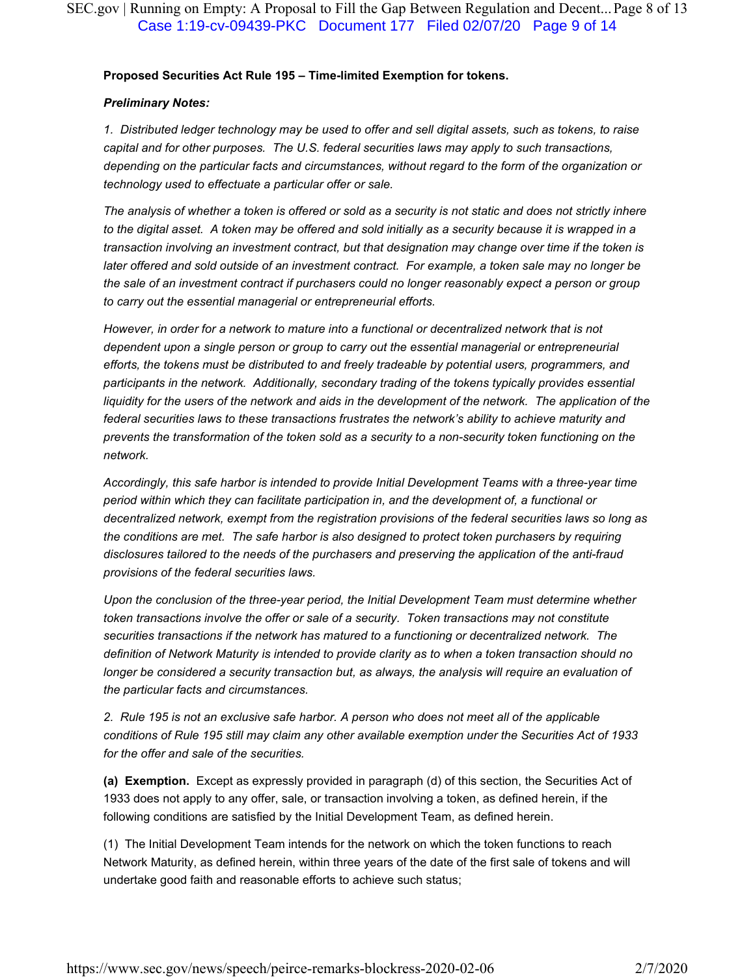#### **Proposed Securities Act Rule 195 – Time-limited Exemption for tokens.**

#### *Preliminary Notes:*

*1. Distributed ledger technology may be used to offer and sell digital assets, such as tokens, to raise capital and for other purposes. The U.S. federal securities laws may apply to such transactions, depending on the particular facts and circumstances, without regard to the form of the organization or technology used to effectuate a particular offer or sale.*

*The analysis of whether a token is offered or sold as a security is not static and does not strictly inhere to the digital asset. A token may be offered and sold initially as a security because it is wrapped in a transaction involving an investment contract, but that designation may change over time if the token is later offered and sold outside of an investment contract. For example, a token sale may no longer be the sale of an investment contract if purchasers could no longer reasonably expect a person or group to carry out the essential managerial or entrepreneurial efforts.*

*However, in order for a network to mature into a functional or decentralized network that is not dependent upon a single person or group to carry out the essential managerial or entrepreneurial efforts, the tokens must be distributed to and freely tradeable by potential users, programmers, and participants in the network. Additionally, secondary trading of the tokens typically provides essential*  liquidity for the users of the network and aids in the development of the network. The application of the *federal securities laws to these transactions frustrates the network's ability to achieve maturity and prevents the transformation of the token sold as a security to a non-security token functioning on the network.*

*Accordingly, this safe harbor is intended to provide Initial Development Teams with a three-year time period within which they can facilitate participation in, and the development of, a functional or decentralized network, exempt from the registration provisions of the federal securities laws so long as the conditions are met. The safe harbor is also designed to protect token purchasers by requiring disclosures tailored to the needs of the purchasers and preserving the application of the anti-fraud provisions of the federal securities laws.*

*Upon the conclusion of the three-year period, the Initial Development Team must determine whether token transactions involve the offer or sale of a security. Token transactions may not constitute securities transactions if the network has matured to a functioning or decentralized network. The definition of Network Maturity is intended to provide clarity as to when a token transaction should no*  longer be considered a security transaction but, as always, the analysis will require an evaluation of *the particular facts and circumstances.*

*2. Rule 195 is not an exclusive safe harbor. A person who does not meet all of the applicable conditions of Rule 195 still may claim any other available exemption under the Securities Act of 1933 for the offer and sale of the securities.*

**(a) Exemption.** Except as expressly provided in paragraph (d) of this section, the Securities Act of 1933 does not apply to any offer, sale, or transaction involving a token, as defined herein, if the following conditions are satisfied by the Initial Development Team, as defined herein.

(1) The Initial Development Team intends for the network on which the token functions to reach Network Maturity, as defined herein, within three years of the date of the first sale of tokens and will undertake good faith and reasonable efforts to achieve such status;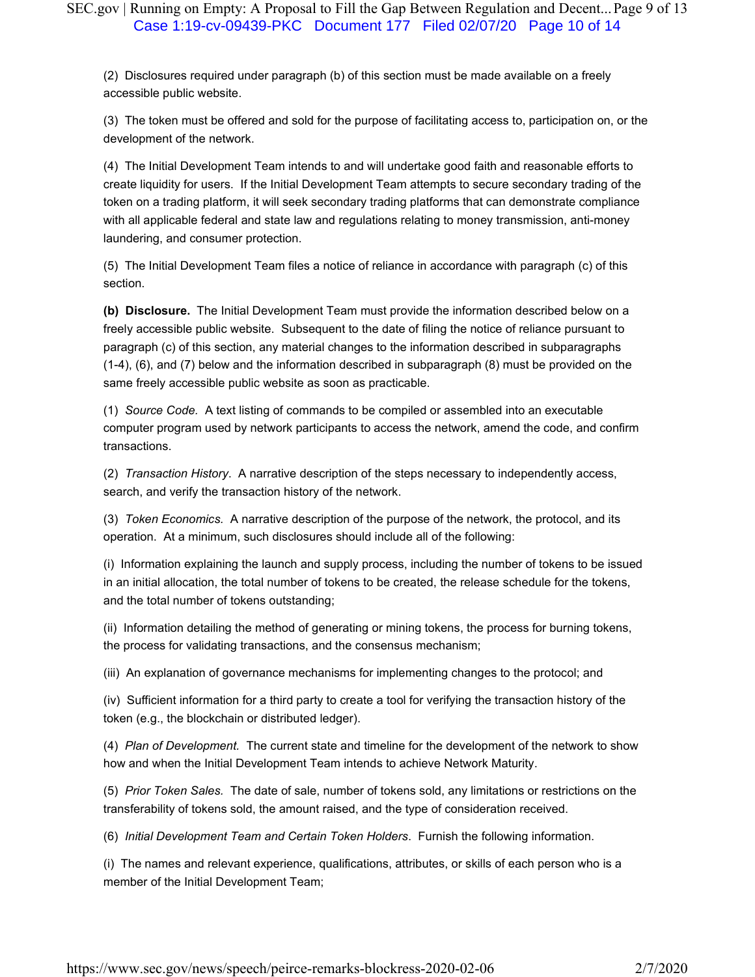(2) Disclosures required under paragraph (b) of this section must be made available on a freely accessible public website.

(3) The token must be offered and sold for the purpose of facilitating access to, participation on, or the development of the network.

(4) The Initial Development Team intends to and will undertake good faith and reasonable efforts to create liquidity for users. If the Initial Development Team attempts to secure secondary trading of the token on a trading platform, it will seek secondary trading platforms that can demonstrate compliance with all applicable federal and state law and regulations relating to money transmission, anti-money laundering, and consumer protection.

(5) The Initial Development Team files a notice of reliance in accordance with paragraph (c) of this section.

**(b) Disclosure.** The Initial Development Team must provide the information described below on a freely accessible public website. Subsequent to the date of filing the notice of reliance pursuant to paragraph (c) of this section, any material changes to the information described in subparagraphs (1-4), (6), and (7) below and the information described in subparagraph (8) must be provided on the same freely accessible public website as soon as practicable.

(1) *Source Code.* A text listing of commands to be compiled or assembled into an executable computer program used by network participants to access the network, amend the code, and confirm transactions.

(2) *Transaction History*. A narrative description of the steps necessary to independently access, search, and verify the transaction history of the network.

(3) *Token Economics.* A narrative description of the purpose of the network, the protocol, and its operation. At a minimum, such disclosures should include all of the following:

(i) Information explaining the launch and supply process, including the number of tokens to be issued in an initial allocation, the total number of tokens to be created, the release schedule for the tokens, and the total number of tokens outstanding;

(ii) Information detailing the method of generating or mining tokens, the process for burning tokens, the process for validating transactions, and the consensus mechanism;

(iii) An explanation of governance mechanisms for implementing changes to the protocol; and

(iv) Sufficient information for a third party to create a tool for verifying the transaction history of the token (e.g., the blockchain or distributed ledger).

(4) *Plan of Development.* The current state and timeline for the development of the network to show how and when the Initial Development Team intends to achieve Network Maturity.

(5) *Prior Token Sales.* The date of sale, number of tokens sold, any limitations or restrictions on the transferability of tokens sold, the amount raised, and the type of consideration received.

(6) *Initial Development Team and Certain Token Holders*. Furnish the following information.

(i) The names and relevant experience, qualifications, attributes, or skills of each person who is a member of the Initial Development Team;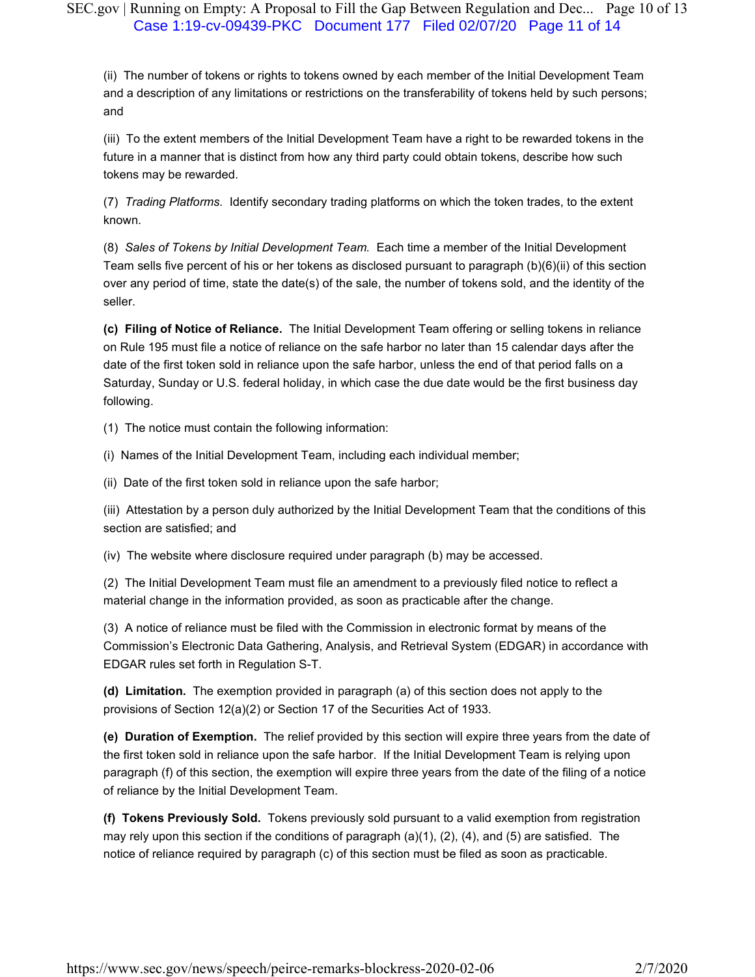# SEC.gov | Running on Empty: A Proposal to Fill the Gap Between Regulation and Dec... Page 10 of 13 Case 1:19-cv-09439-PKC Document 177 Filed 02/07/20 Page 11 of 14

(ii) The number of tokens or rights to tokens owned by each member of the Initial Development Team and a description of any limitations or restrictions on the transferability of tokens held by such persons; and

(iii) To the extent members of the Initial Development Team have a right to be rewarded tokens in the future in a manner that is distinct from how any third party could obtain tokens, describe how such tokens may be rewarded.

(7) *Trading Platforms.* Identify secondary trading platforms on which the token trades, to the extent known.

(8) *Sales of Tokens by Initial Development Team.* Each time a member of the Initial Development Team sells five percent of his or her tokens as disclosed pursuant to paragraph (b)(6)(ii) of this section over any period of time, state the date(s) of the sale, the number of tokens sold, and the identity of the seller.

**(c) Filing of Notice of Reliance.** The Initial Development Team offering or selling tokens in reliance on Rule 195 must file a notice of reliance on the safe harbor no later than 15 calendar days after the date of the first token sold in reliance upon the safe harbor, unless the end of that period falls on a Saturday, Sunday or U.S. federal holiday, in which case the due date would be the first business day following.

(1) The notice must contain the following information:

(i) Names of the Initial Development Team, including each individual member;

(ii) Date of the first token sold in reliance upon the safe harbor;

(iii) Attestation by a person duly authorized by the Initial Development Team that the conditions of this section are satisfied; and

(iv) The website where disclosure required under paragraph (b) may be accessed.

(2) The Initial Development Team must file an amendment to a previously filed notice to reflect a material change in the information provided, as soon as practicable after the change.

(3) A notice of reliance must be filed with the Commission in electronic format by means of the Commission's Electronic Data Gathering, Analysis, and Retrieval System (EDGAR) in accordance with EDGAR rules set forth in Regulation S-T.

**(d) Limitation.** The exemption provided in paragraph (a) of this section does not apply to the provisions of Section 12(a)(2) or Section 17 of the Securities Act of 1933.

**(e) Duration of Exemption.** The relief provided by this section will expire three years from the date of the first token sold in reliance upon the safe harbor. If the Initial Development Team is relying upon paragraph (f) of this section, the exemption will expire three years from the date of the filing of a notice of reliance by the Initial Development Team.

**(f) Tokens Previously Sold.** Tokens previously sold pursuant to a valid exemption from registration may rely upon this section if the conditions of paragraph  $(a)(1)$ ,  $(2)$ ,  $(4)$ , and  $(5)$  are satisfied. The notice of reliance required by paragraph (c) of this section must be filed as soon as practicable.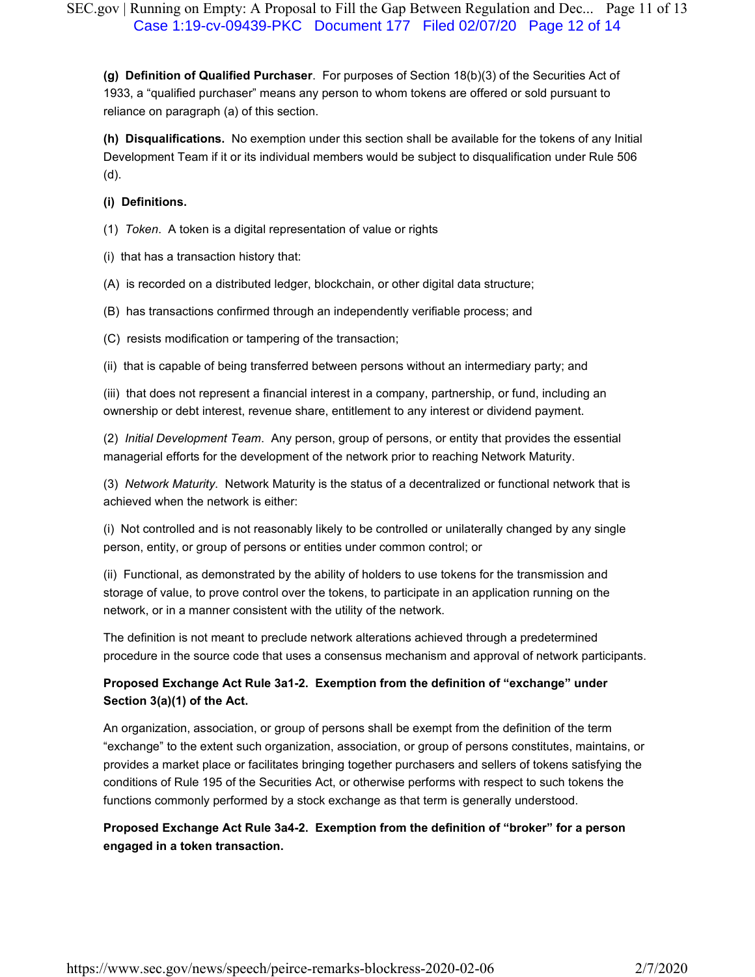**(g) Definition of Qualified Purchaser**. For purposes of Section 18(b)(3) of the Securities Act of 1933, a "qualified purchaser" means any person to whom tokens are offered or sold pursuant to reliance on paragraph (a) of this section.

**(h) Disqualifications.** No exemption under this section shall be available for the tokens of any Initial Development Team if it or its individual members would be subject to disqualification under Rule 506 (d).

#### **(i) Definitions.**

(1) *Token*. A token is a digital representation of value or rights

(i) that has a transaction history that:

(A) is recorded on a distributed ledger, blockchain, or other digital data structure;

(B) has transactions confirmed through an independently verifiable process; and

(C) resists modification or tampering of the transaction;

(ii) that is capable of being transferred between persons without an intermediary party; and

(iii) that does not represent a financial interest in a company, partnership, or fund, including an ownership or debt interest, revenue share, entitlement to any interest or dividend payment.

(2) *Initial Development Team*. Any person, group of persons, or entity that provides the essential managerial efforts for the development of the network prior to reaching Network Maturity.

(3) *Network Maturity*. Network Maturity is the status of a decentralized or functional network that is achieved when the network is either:

(i) Not controlled and is not reasonably likely to be controlled or unilaterally changed by any single person, entity, or group of persons or entities under common control; or

(ii) Functional, as demonstrated by the ability of holders to use tokens for the transmission and storage of value, to prove control over the tokens, to participate in an application running on the network, or in a manner consistent with the utility of the network.

The definition is not meant to preclude network alterations achieved through a predetermined procedure in the source code that uses a consensus mechanism and approval of network participants.

# **Proposed Exchange Act Rule 3a1-2. Exemption from the definition of "exchange" under Section 3(a)(1) of the Act.**

An organization, association, or group of persons shall be exempt from the definition of the term "exchange" to the extent such organization, association, or group of persons constitutes, maintains, or provides a market place or facilitates bringing together purchasers and sellers of tokens satisfying the conditions of Rule 195 of the Securities Act, or otherwise performs with respect to such tokens the functions commonly performed by a stock exchange as that term is generally understood.

# **Proposed Exchange Act Rule 3a4-2. Exemption from the definition of "broker" for a person engaged in a token transaction.**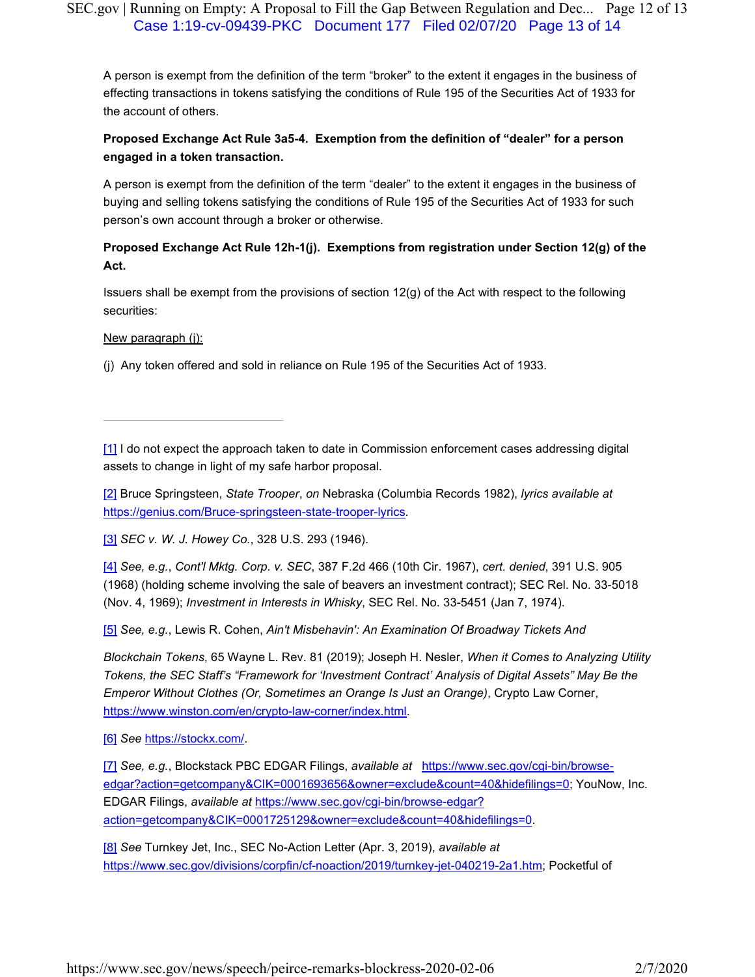# SEC.gov | Running on Empty: A Proposal to Fill the Gap Between Regulation and Dec... Page 12 of 13 Case 1:19-cv-09439-PKC Document 177 Filed 02/07/20 Page 13 of 14

A person is exempt from the definition of the term "broker" to the extent it engages in the business of effecting transactions in tokens satisfying the conditions of Rule 195 of the Securities Act of 1933 for the account of others.

# **Proposed Exchange Act Rule 3a5-4. Exemption from the definition of "dealer" for a person engaged in a token transaction.**

A person is exempt from the definition of the term "dealer" to the extent it engages in the business of buying and selling tokens satisfying the conditions of Rule 195 of the Securities Act of 1933 for such person's own account through a broker or otherwise.

# **Proposed Exchange Act Rule 12h-1(j). Exemptions from registration under Section 12(g) of the Act.**

Issuers shall be exempt from the provisions of section  $12(q)$  of the Act with respect to the following securities:

New paragraph (j):

(j) Any token offered and sold in reliance on Rule 195 of the Securities Act of 1933.

[1] I do not expect the approach taken to date in Commission enforcement cases addressing digital assets to change in light of my safe harbor proposal.

[2] Bruce Springsteen, *State Trooper*, *on* Nebraska (Columbia Records 1982), *lyrics available at* https://genius.com/Bruce-springsteen-state-trooper-lyrics.

[3] *SEC v. W. J. Howey Co.*, 328 U.S. 293 (1946).

[4] *See, e.g.*, *Cont'l Mktg. Corp. v. SEC*, 387 F.2d 466 (10th Cir. 1967), *cert. denied*, 391 U.S. 905 (1968) (holding scheme involving the sale of beavers an investment contract); SEC Rel. No. 33-5018 (Nov. 4, 1969); *Investment in Interests in Whisky*, SEC Rel. No. 33-5451 (Jan 7, 1974).

[5] *See, e.g.*, Lewis R. Cohen, *Ain't Misbehavin': An Examination Of Broadway Tickets And*

*Blockchain Tokens*, 65 Wayne L. Rev. 81 (2019); Joseph H. Nesler, *When it Comes to Analyzing Utility Tokens, the SEC Staff's "Framework for 'Investment Contract' Analysis of Digital Assets" May Be the Emperor Without Clothes (Or, Sometimes an Orange Is Just an Orange)*, Crypto Law Corner, https://www.winston.com/en/crypto-law-corner/index.html.

[6] *See* https://stockx.com/.

[7] *See, e.g.*, Blockstack PBC EDGAR Filings, *available at* https://www.sec.gov/cgi-bin/browseedgar?action=getcompany&CIK=0001693656&owner=exclude&count=40&hidefilings=0; YouNow, Inc. EDGAR Filings, *available at* https://www.sec.gov/cgi-bin/browse-edgar? action=getcompany&CIK=0001725129&owner=exclude&count=40&hidefilings=0.

[8] *See* Turnkey Jet, Inc., SEC No-Action Letter (Apr. 3, 2019), *available at* https://www.sec.gov/divisions/corpfin/cf-noaction/2019/turnkey-jet-040219-2a1.htm; Pocketful of